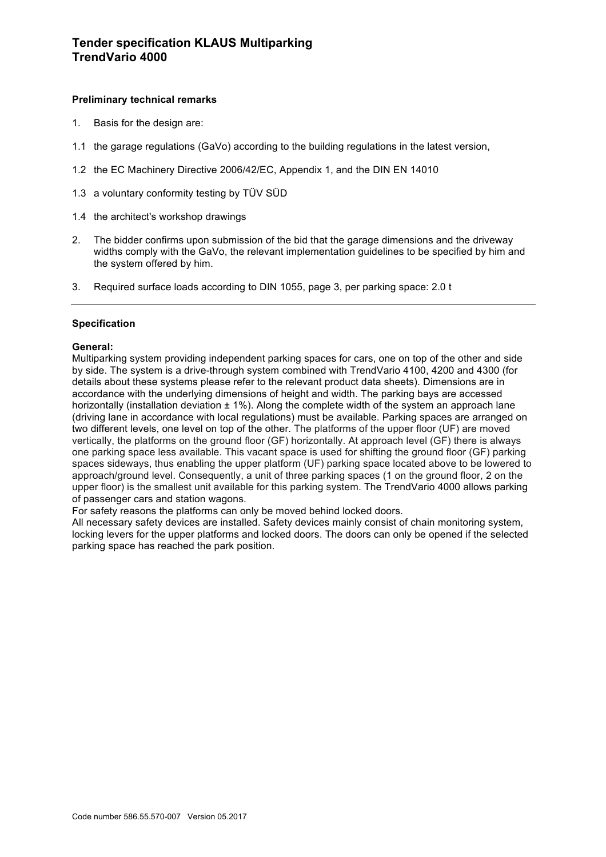## **Preliminary technical remarks**

- 1. Basis for the design are:
- 1.1 the garage regulations (GaVo) according to the building regulations in the latest version,
- 1.2 the EC Machinery Directive 2006/42/EC, Appendix 1, and the DIN EN 14010
- 1.3 a voluntary conformity testing by TÜV SÜD
- 1.4 the architect's workshop drawings
- 2. The bidder confirms upon submission of the bid that the garage dimensions and the driveway widths comply with the GaVo, the relevant implementation guidelines to be specified by him and the system offered by him.
- 3. Required surface loads according to DIN 1055, page 3, per parking space: 2.0 t

#### **Specification**

#### **General:**

Multiparking system providing independent parking spaces for cars, one on top of the other and side by side. The system is a drive-through system combined with TrendVario 4100, 4200 and 4300 (for details about these systems please refer to the relevant product data sheets). Dimensions are in accordance with the underlying dimensions of height and width. The parking bays are accessed horizontally (installation deviation  $\pm 1\%$ ). Along the complete width of the system an approach lane (driving lane in accordance with local regulations) must be available. Parking spaces are arranged on two different levels, one level on top of the other. The platforms of the upper floor (UF) are moved vertically, the platforms on the ground floor (GF) horizontally. At approach level (GF) there is always one parking space less available. This vacant space is used for shifting the ground floor (GF) parking spaces sideways, thus enabling the upper platform (UF) parking space located above to be lowered to approach/ground level. Consequently, a unit of three parking spaces (1 on the ground floor, 2 on the upper floor) is the smallest unit available for this parking system. The TrendVario 4000 allows parking of passenger cars and station wagons.

For safety reasons the platforms can only be moved behind locked doors.

All necessary safety devices are installed. Safety devices mainly consist of chain monitoring system, locking levers for the upper platforms and locked doors. The doors can only be opened if the selected parking space has reached the park position.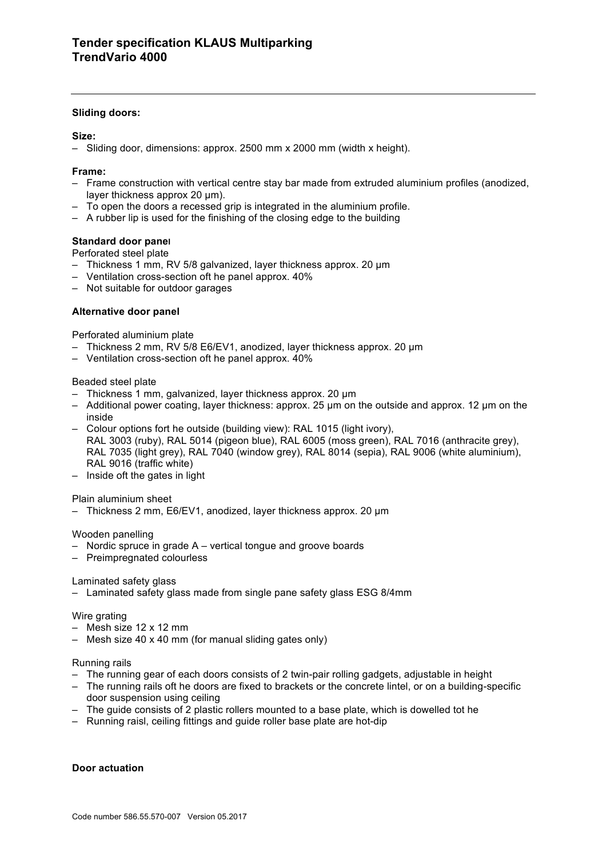#### **Sliding doors:**

### **Size:**

– Sliding door, dimensions: approx. 2500 mm x 2000 mm (width x height).

### **Frame:**

- Frame construction with vertical centre stay bar made from extruded aluminium profiles (anodized, layer thickness approx 20 µm).
- To open the doors a recessed grip is integrated in the aluminium profile.
- A rubber lip is used for the finishing of the closing edge to the building

## **Standard door panel**

Perforated steel plate

- Thickness 1 mm, RV 5/8 galvanized, layer thickness approx. 20 µm
- Ventilation cross-section oft he panel approx. 40%
- Not suitable for outdoor garages

## **Alternative door panel**

Perforated aluminium plate

- Thickness 2 mm, RV 5/8 E6/EV1, anodized, layer thickness approx. 20 µm
- Ventilation cross-section oft he panel approx. 40%

#### Beaded steel plate

- Thickness 1 mm, galvanized, layer thickness approx. 20 µm
- Additional power coating, layer thickness: approx. 25 µm on the outside and approx. 12 µm on the inside
- Colour options fort he outside (building view): RAL 1015 (light ivory), RAL 3003 (ruby), RAL 5014 (pigeon blue), RAL 6005 (moss green), RAL 7016 (anthracite grey), RAL 7035 (light grey), RAL 7040 (window grey), RAL 8014 (sepia), RAL 9006 (white aluminium), RAL 9016 (traffic white)
- Inside oft the gates in light

#### Plain aluminium sheet

– Thickness 2 mm, E6/EV1, anodized, layer thickness approx. 20 µm

#### Wooden panelling

- Nordic spruce in grade A vertical tongue and groove boards
- Preimpregnated colourless

#### Laminated safety glass

– Laminated safety glass made from single pane safety glass ESG 8/4mm

#### Wire grating

- Mesh size 12 x 12 mm
- Mesh size 40 x 40 mm (for manual sliding gates only)

#### Running rails

- The running gear of each doors consists of 2 twin-pair rolling gadgets, adjustable in height
- The running rails oft he doors are fixed to brackets or the concrete lintel, or on a building-specific door suspension using ceiling
- The guide consists of 2 plastic rollers mounted to a base plate, which is dowelled tot he
- Running raisl, ceiling fittings and guide roller base plate are hot-dip

#### **Door actuation**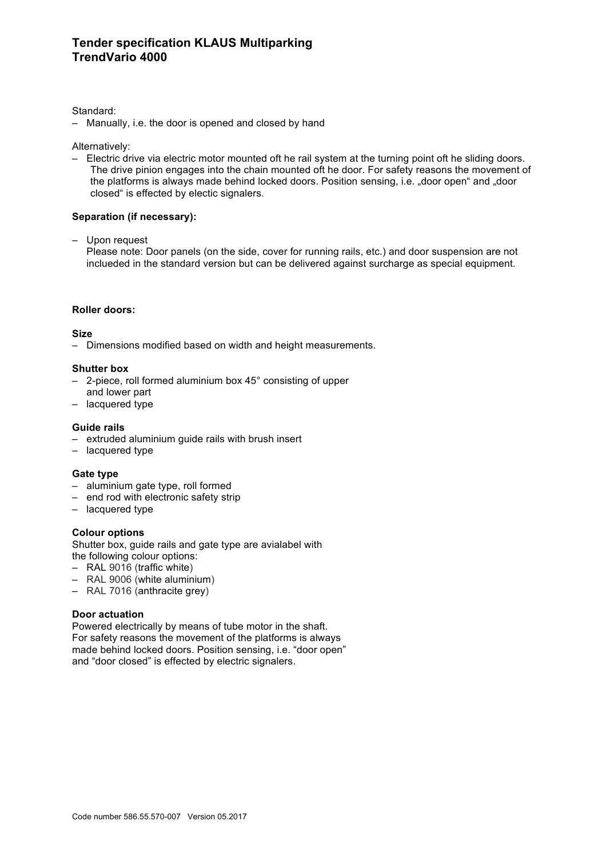# **Tender specification KLAUS Multiparking TrendVario 4000**

#### Standard:

– Manually, i.e. the door is opened and closed by hand

Alternatively:

– Electric drive via electric motor mounted oft he rail system at the turning point oft he sliding doors. The drive pinion engages into the chain mounted oft he door. For safety reasons the movement of the platforms is always made behind locked doors. Position sensing, i.e. "door open" and "door closed" is effected by electic signalers.

#### **Separation (if necessary):**

– Upon request

Please note: Door panels (on the side, cover for running rails, etc.) and door suspension are not inclueded in the standard version but can be delivered against surcharge as special equipment.

#### **Roller doors:**

#### **Size**

– Dimensions modified based on width and height measurements.

#### **Shutter box**

- 2-piece, roll formed aluminium box 45° consisting of upper
- and lower part
- lacquered type

#### **Guide rails**

- extruded aluminium guide rails with brush insert
- lacquered type

#### **Gate type**

- aluminium gate type, roll formed
- end rod with electronic safety strip
- lacquered type

#### **Colour options**

Shutter box, guide rails and gate type are avialabel with the following colour options:

- RAL 9016 (traffic white)
- RAL 9006 (white aluminium)
- RAL 7016 (anthracite grey)

#### **Door actuation**

Powered electrically by means of tube motor in the shaft. For safety reasons the movement of the platforms is always made behind locked doors. Position sensing, i.e. "door open" and "door closed" is effected by electric signalers.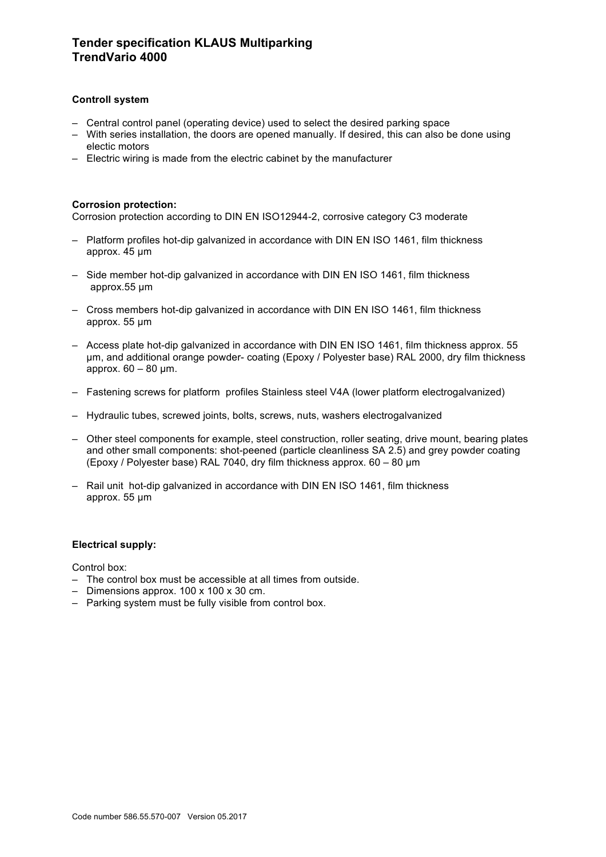# **Tender specification KLAUS Multiparking TrendVario 4000**

## **Controll system**

- Central control panel (operating device) used to select the desired parking space
- With series installation, the doors are opened manually. If desired, this can also be done using electic motors
- Electric wiring is made from the electric cabinet by the manufacturer

#### **Corrosion protection:**

Corrosion protection according to DIN EN ISO12944-2, corrosive category C3 moderate

- Platform profiles hot-dip galvanized in accordance with DIN EN ISO 1461, film thickness approx. 45 µm
- Side member hot-dip galvanized in accordance with DIN EN ISO 1461, film thickness approx.55 µm
- Cross members hot-dip galvanized in accordance with DIN EN ISO 1461, film thickness approx. 55 µm
- Access plate hot-dip galvanized in accordance with DIN EN ISO 1461, film thickness approx. 55 µm, and additional orange powder- coating (Epoxy / Polyester base) RAL 2000, dry film thickness approx.  $60 - 80$  µm.
- Fastening screws for platform profiles Stainless steel V4A (lower platform electrogalvanized)
- Hydraulic tubes, screwed joints, bolts, screws, nuts, washers electrogalvanized
- Other steel components for example, steel construction, roller seating, drive mount, bearing plates and other small components: shot-peened (particle cleanliness SA 2.5) and grey powder coating (Epoxy / Polyester base) RAL 7040, dry film thickness approx. 60 – 80 µm
- Rail unit hot-dip galvanized in accordance with DIN EN ISO 1461, film thickness approx. 55 µm

#### **Electrical supply:**

Control box:

- The control box must be accessible at all times from outside.
- Dimensions approx. 100 x 100 x 30 cm.
- Parking system must be fully visible from control box.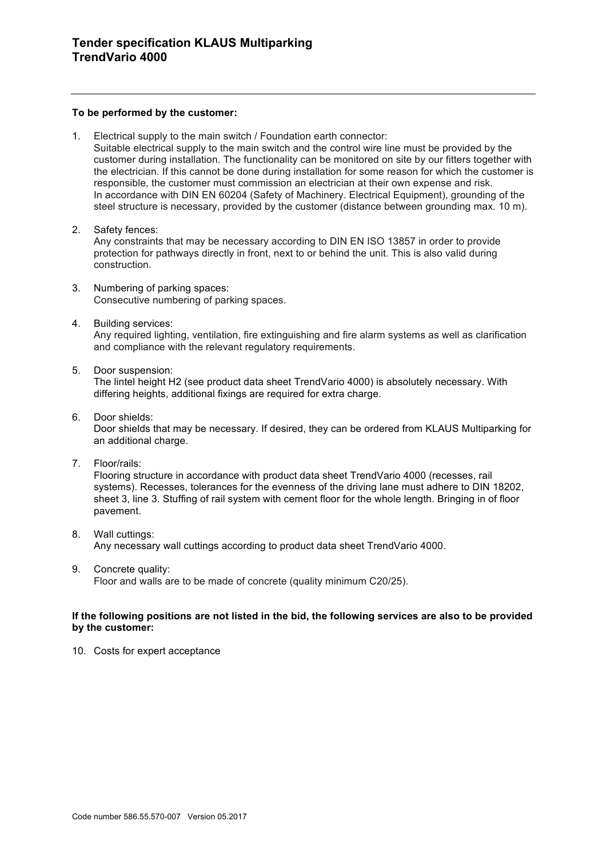#### **To be performed by the customer:**

1. Electrical supply to the main switch / Foundation earth connector: Suitable electrical supply to the main switch and the control wire line must be provided by the

customer during installation. The functionality can be monitored on site by our fitters together with the electrician. If this cannot be done during installation for some reason for which the customer is responsible, the customer must commission an electrician at their own expense and risk. In accordance with DIN EN 60204 (Safety of Machinery. Electrical Equipment), grounding of the steel structure is necessary, provided by the customer (distance between grounding max. 10 m).

- 2. Safety fences: Any constraints that may be necessary according to DIN EN ISO 13857 in order to provide protection for pathways directly in front, next to or behind the unit. This is also valid during construction.
- 3. Numbering of parking spaces: Consecutive numbering of parking spaces.
- 4. Building services: Any required lighting, ventilation, fire extinguishing and fire alarm systems as well as clarification and compliance with the relevant regulatory requirements.
- 5. Door suspension:

The lintel height H2 (see product data sheet TrendVario 4000) is absolutely necessary. With differing heights, additional fixings are required for extra charge.

- 6. Door shields: Door shields that may be necessary. If desired, they can be ordered from KLAUS Multiparking for an additional charge.
- 7. Floor/rails:

Flooring structure in accordance with product data sheet TrendVario 4000 (recesses, rail systems). Recesses, tolerances for the evenness of the driving lane must adhere to DIN 18202, sheet 3, line 3. Stuffing of rail system with cement floor for the whole length. Bringing in of floor pavement.

- 8. Wall cuttings: Any necessary wall cuttings according to product data sheet TrendVario 4000.
- 9. Concrete quality: Floor and walls are to be made of concrete (quality minimum C20/25).

# **If the following positions are not listed in the bid, the following services are also to be provided**

10. Costs for expert acceptance

**by the customer:**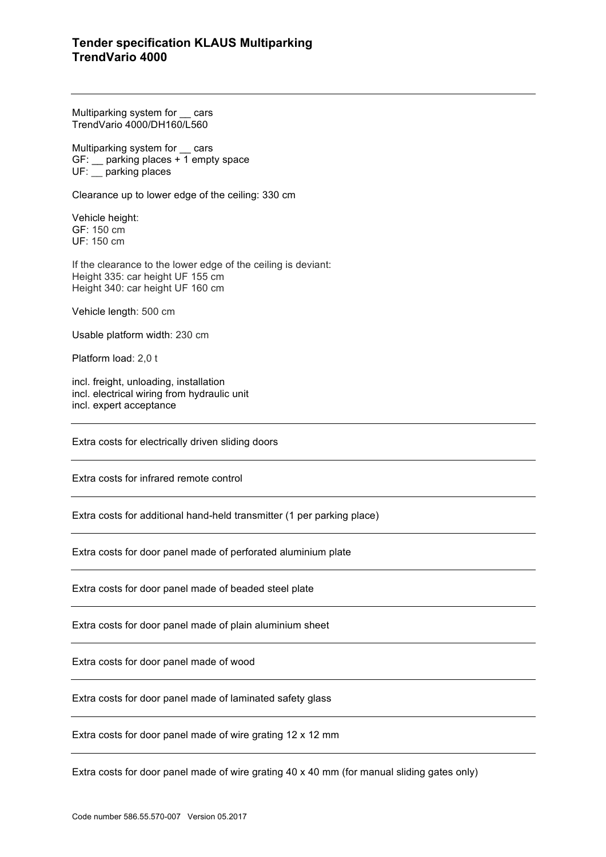# **Tender specification KLAUS Multiparking TrendVario 4000**

Multiparking system for \_\_ cars TrendVario 4000/DH160/L560

Multiparking system for cars GF: \_\_ parking places + 1 empty space UF: \_\_ parking places

Clearance up to lower edge of the ceiling: 330 cm

Vehicle height: GF: 150 cm UF: 150 cm

If the clearance to the lower edge of the ceiling is deviant: Height 335: car height UF 155 cm Height 340: car height UF 160 cm

Vehicle length: 500 cm

Usable platform width: 230 cm

Platform load: 2,0 t

incl. freight, unloading, installation incl. electrical wiring from hydraulic unit incl. expert acceptance

Extra costs for electrically driven sliding doors

Extra costs for infrared remote control

Extra costs for additional hand-held transmitter (1 per parking place)

Extra costs for door panel made of perforated aluminium plate

Extra costs for door panel made of beaded steel plate

Extra costs for door panel made of plain aluminium sheet

Extra costs for door panel made of wood

Extra costs for door panel made of laminated safety glass

Extra costs for door panel made of wire grating 12 x 12 mm

Extra costs for door panel made of wire grating 40 x 40 mm (for manual sliding gates only)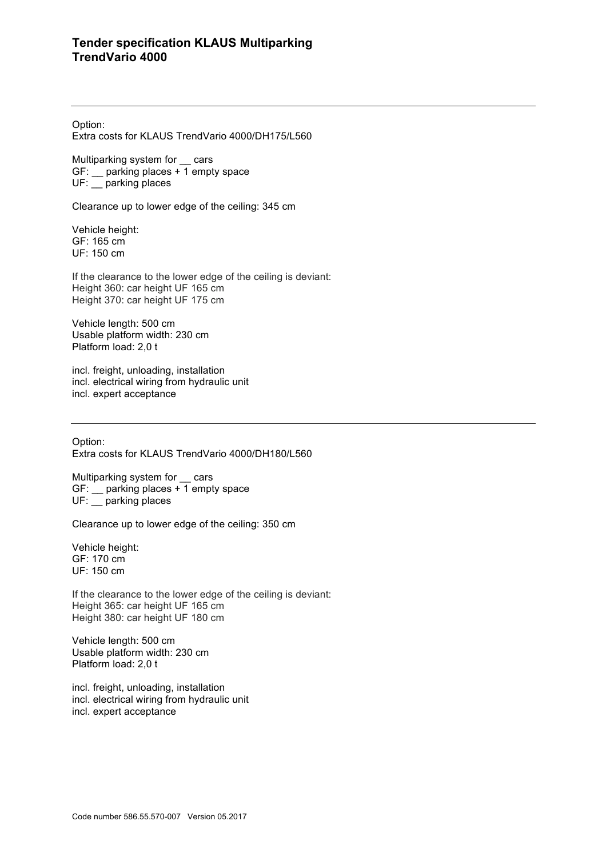Option:

Extra costs for KLAUS TrendVario 4000/DH175/L560

Multiparking system for \_\_ cars GF: \_\_ parking places + 1 empty space UF: \_\_ parking places

Clearance up to lower edge of the ceiling: 345 cm

Vehicle height: GF: 165 cm UF: 150 cm

If the clearance to the lower edge of the ceiling is deviant: Height 360: car height UF 165 cm Height 370: car height UF 175 cm

Vehicle length: 500 cm Usable platform width: 230 cm Platform load: 2,0 t

incl. freight, unloading, installation incl. electrical wiring from hydraulic unit incl. expert acceptance

Option: Extra costs for KLAUS TrendVario 4000/DH180/L560

Multiparking system for cars GF: \_\_ parking places + 1 empty space UF: \_\_ parking places

Clearance up to lower edge of the ceiling: 350 cm

Vehicle height: GF: 170 cm UF: 150 cm

If the clearance to the lower edge of the ceiling is deviant: Height 365: car height UF 165 cm Height 380: car height UF 180 cm

Vehicle length: 500 cm Usable platform width: 230 cm Platform load: 2,0 t

incl. freight, unloading, installation incl. electrical wiring from hydraulic unit incl. expert acceptance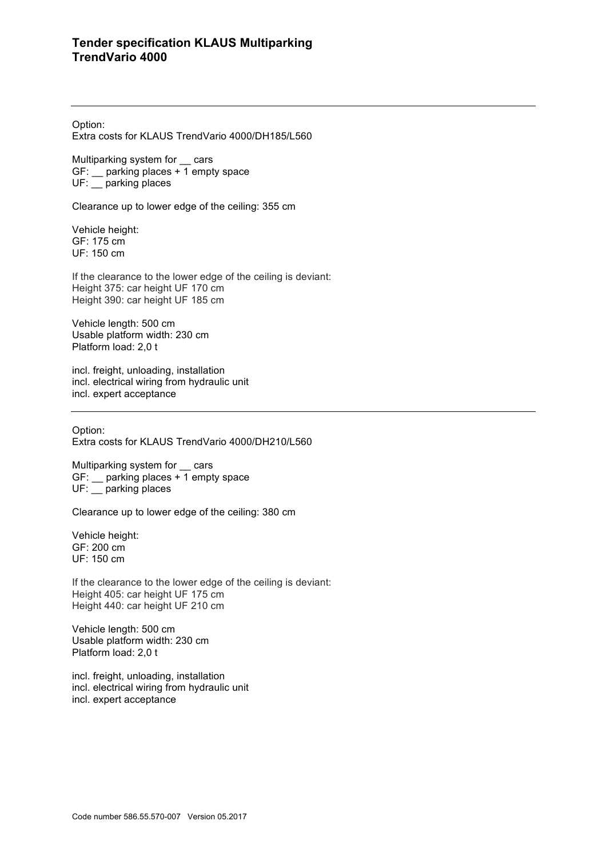Option:

Extra costs for KLAUS TrendVario 4000/DH185/L560

Multiparking system for \_\_ cars GF: \_\_ parking places + 1 empty space UF: \_\_ parking places

Clearance up to lower edge of the ceiling: 355 cm

Vehicle height: GF: 175 cm UF: 150 cm

If the clearance to the lower edge of the ceiling is deviant: Height 375: car height UF 170 cm Height 390: car height UF 185 cm

Vehicle length: 500 cm Usable platform width: 230 cm Platform load: 2,0 t

incl. freight, unloading, installation incl. electrical wiring from hydraulic unit incl. expert acceptance

Option: Extra costs for KLAUS TrendVario 4000/DH210/L560

Multiparking system for \_\_ cars GF:  $\_\_$  parking places  $\overline{+1}$  empty space UF: parking places

Clearance up to lower edge of the ceiling: 380 cm

Vehicle height: GF: 200 cm UF: 150 cm

If the clearance to the lower edge of the ceiling is deviant: Height 405: car height UF 175 cm Height 440: car height UF 210 cm

Vehicle length: 500 cm Usable platform width: 230 cm Platform load: 2,0 t

incl. freight, unloading, installation incl. electrical wiring from hydraulic unit incl. expert acceptance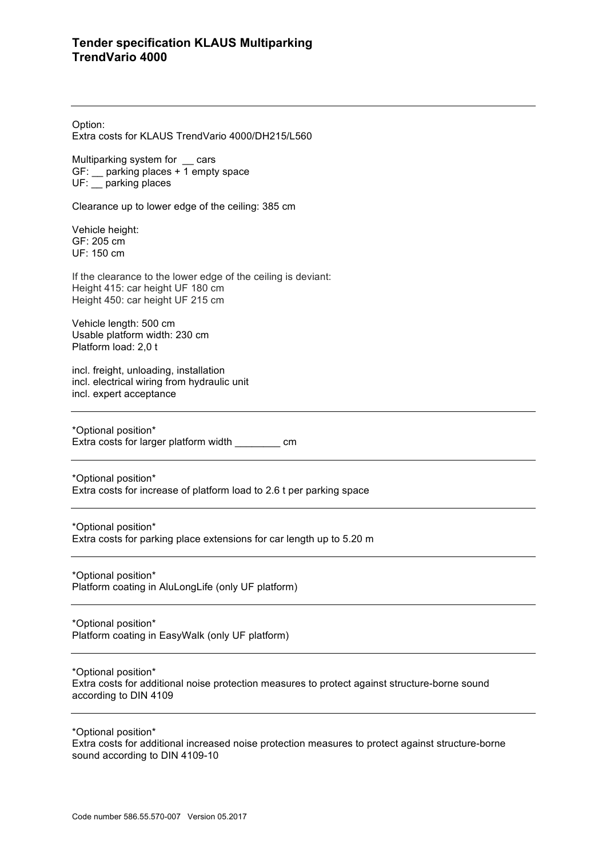Option:

Extra costs for KLAUS TrendVario 4000/DH215/L560

Multiparking system for \_\_ cars GF: \_\_ parking places + 1 empty space UF: \_\_ parking places

Clearance up to lower edge of the ceiling: 385 cm

Vehicle height: GF: 205 cm UF: 150 cm

If the clearance to the lower edge of the ceiling is deviant: Height 415: car height UF 180 cm Height 450: car height UF 215 cm

Vehicle length: 500 cm Usable platform width: 230 cm Platform load: 2,0 t

incl. freight, unloading, installation incl. electrical wiring from hydraulic unit incl. expert acceptance

\*Optional position\* Extra costs for larger platform width cm

\*Optional position\* Extra costs for increase of platform load to 2.6 t per parking space

\*Optional position\* Extra costs for parking place extensions for car length up to 5.20 m

\*Optional position\* Platform coating in AluLongLife (only UF platform)

\*Optional position\* Platform coating in EasyWalk (only UF platform)

\*Optional position\* Extra costs for additional noise protection measures to protect against structure-borne sound according to DIN 4109

\*Optional position\* Extra costs for additional increased noise protection measures to protect against structure-borne sound according to DIN 4109-10